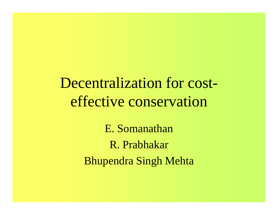Decentralization for costeffective conservation

> E. SomanathanR. PrabhakarBhupendra Singh Mehta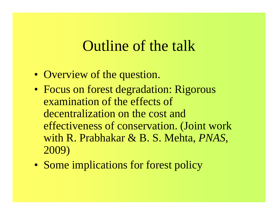# Outline of the talk

- Overview of the question.
- Focus on forest degradation: Rigorous examination of the effects of decentralization on the cost and effectiveness of conservation. (Joint work with R. Prabhakar & B. S. Mehta, *PNAS*, 2009)
- Some implications for forest policy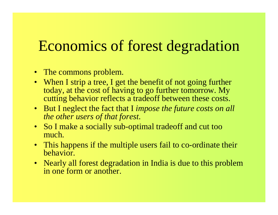# Economics of forest degradation

- The commons problem.
- When I strip a tree, I get the benefit of not going further today, at the cost of having to go further tomorrow. My cutting behavior reflects a tradeoff between these costs.
- But I neglect the fact that I *impose the future costs on all the other users of that forest*.
- So I make a socially sub-optimal tradeoff and cut too much.
- This happens if the multiple users fail to co-ordinate their behavior.
- Nearly all forest degradation in India is due to this problem in one form or another.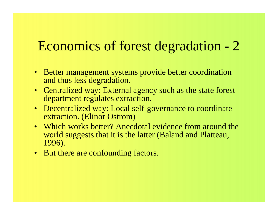# Economics of forest degradation - 2

- Better management systems provide better coordination and thus less degradation.
- Centralized way: External agency such as the state forest department regulates extraction.
- Decentralized way: Local self-governance to coordinate extraction. (Elinor Ostrom)
- Which works better? Anecdotal evidence from around the world suggests that it is the latter (Baland and Platteau, 1996).
- But there are confounding factors.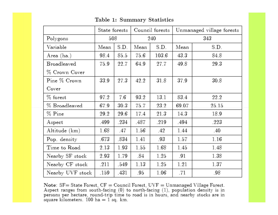|  | Table 1: Summary Statistics |  |
|--|-----------------------------|--|
|--|-----------------------------|--|

|                  | Council forests<br>State forests |      | Unmanaged village forests |       |       |       |
|------------------|----------------------------------|------|---------------------------|-------|-------|-------|
| Polygons         | 508                              |      | 240                       |       | 343   |       |
| Variable         | Mean                             | S.D. | Mean                      | S.D.  | Mean  | S.D.  |
| Area (ha.)       | 98.4                             | 85.5 | 75.6                      | 103.6 | 43.3  | 84.8  |
| Broadleaved      | 75.9                             | 22.7 | 64.9                      | 27.7  | 49.8  | 29.3  |
| % Crown Cover    |                                  |      |                           |       |       |       |
| Pine % Crown     | 33.9                             | 27.3 | 42.2                      | 31.8  | 37.9  | 30.8  |
| Cover            |                                  |      |                           |       |       |       |
| $\%$ forest      | 97.2                             | 7.6  | 93.2                      | 13.1  | 83.4  | 22.2  |
| % Broadleaved    | 67.9                             | 30.3 | 75.7                      | 23.2  | 69.07 | 25.15 |
| % Pine           | 29.2                             | 29.6 | 17.4                      | 21.3  | 14.3  | 18.9  |
| Aspect           | .499                             | .234 | .487                      | .219  | .494  | .223  |
| Altitude (km)    | 1.68                             | .47  | 1.56                      | .42   | 1.44  | .40   |
| Pop. density     | .673                             | .834 | 1.41                      | .93   | 1.57  | 1.16  |
| Time to Road     | 2.13                             | 1.93 | 1.55                      | 1.68  | 1.45  | 1.48  |
| Nearby SF stock  | 2.93                             | 1.79 | .84                       | 1.25  | .91   | 1.38  |
| Nearby CF stock  | .211                             | .549 | 1.13                      | 1.25  | 1.21  | 1.37  |
| Nearby UVF stock | .159                             | .431 | .95                       | 1.06  | .71   | .98   |

Note: SF= State Forest, CF = Council Forest, UVF = Unmanaged Village Forest.<br>Aspect ranges from south-facing (0) to north-facing (1), population density is in<br>persons per hectare, round-trip time to road is in hours, and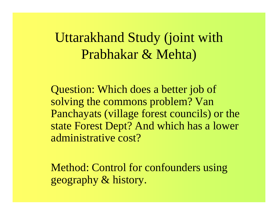# Uttarakhand Study (joint with Prabhakar & Mehta)

Question: Which does a better job of solving the commons problem? Van Panchayats (village forest councils) or the state Forest Dept? And which has a lower administrative cost?

Method: Control for confounders using geography & history.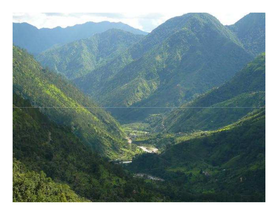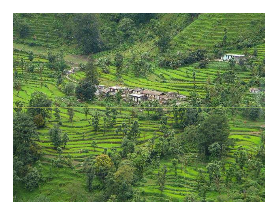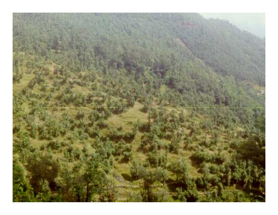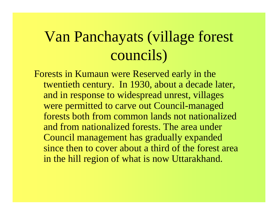# Van Panchayats (village forest councils)

Forests in Kumaun were Reserved early in the twentieth century. In 1930, about a decade later, and in response to widespread unrest, villages were permitted to carve out Council-managed forests both from common lands not nationalized and from nationalized forests. The area under Council management has gradually expanded since then to cover about a third of the forest area in the hill region of what is now Uttarakhand.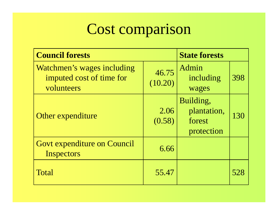# Cost comparison

| <b>Council forests</b>                                               | <b>State forests</b> |                                                  |     |
|----------------------------------------------------------------------|----------------------|--------------------------------------------------|-----|
| Watchmen's wages including<br>imputed cost of time for<br>volunteers | 46.75<br>(10.20)     | Admin<br>including<br>wages                      | 398 |
| Other expenditure                                                    | 2.06<br>(0.58)       | Building,<br>plantation,<br>forest<br>protection | 130 |
| Govt expenditure on Council<br>Inspectors                            | 6.66                 |                                                  |     |
| Total                                                                | 55.47                |                                                  | 528 |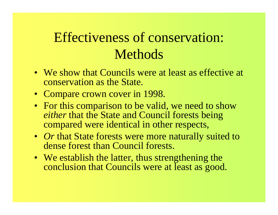# Effectiveness of conservation: **Methods**

- We show that Councils were at least as effective at conservation as the State.
- Compare crown cover in 1998.
- For this comparison to be valid, we need to show *either* that the State and Council forests being compared were identical in other respects,
- *Or* that State forests were more naturally suited to dense forest than Council forests.
- We establish the latter, thus strengthening the conclusion that Councils were at least as good.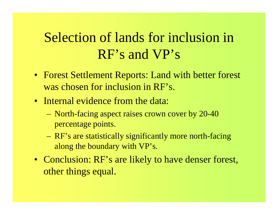# Selection of lands for inclusion in RF's and VP's

- Forest Settlement Reports: Land with better forestwas chosen for inclusion in RF's.
- Internal evidence from the data:
	- – North-facing aspect raises crown cover by 20-40 percentage points.
	- – RF's are statistically significantly more north-facing along the boundary with VP's.
- Conclusion: RF's are likely to have denser forest, other things equal.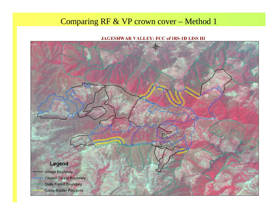#### Comparing RF & VP crown cover - Method 1

#### **JAGESHWAR VALLEY: FCC of IRS-1D LISS III**

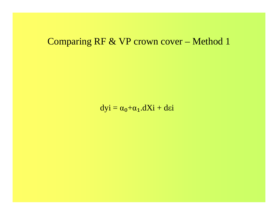#### Comparing RF & VP crown cover - Method 1

 $dyi = \alpha_0 + \alpha_1 dXi + d\epsilon i$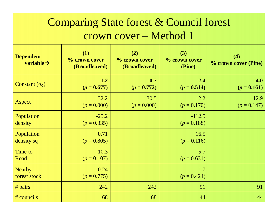#### Comparing State forest & Council forest crown cover – Method 1

| <b>Dependent</b><br>variable $\rightarrow$ | (1)<br>% crown cover<br>(Broadleaved) | (2)<br>% crown cover<br>(Broadleaved) | (3)<br>% crown cover<br>(Pine) | (4)<br>% crown cover (Pine) |
|--------------------------------------------|---------------------------------------|---------------------------------------|--------------------------------|-----------------------------|
| Constant $(\alpha_0)$                      | 1.2<br>$(p = 0.677)$                  | $-0.7$<br>$(p = 0.772)$               | $-2.4$<br>$(p = 0.514)$        | $-4.0$<br>$(p = 0.161)$     |
| Aspect                                     | 32.2<br>$(p = 0.000)$                 | 30.5<br>$(p = 0.000)$                 | 12.2<br>$(p = 0.170)$          | 12.9<br>$(p = 0.147)$       |
| Population<br>density                      | $-25.2$<br>$(p = 0.335)$              |                                       | $-112.5$<br>$(p = 0.188)$      |                             |
| Population<br>density sq                   | 0.71<br>$(p = 0.805)$                 |                                       | 16.5<br>$(p = 0.116)$          |                             |
| Time to<br>Road                            | 10.3<br>$(p = 0.107)$                 |                                       | 5.7<br>$(p = 0.631)$           |                             |
| <b>Nearby</b><br>forest stock              | $-0.24$<br>$(p = 0.775)$              |                                       | $-1.7$<br>$(p = 0.424)$        |                             |
| # pairs                                    | 242                                   | 242                                   | 91                             | 91                          |
| # councils                                 | 68                                    | 68                                    | 44                             | 44                          |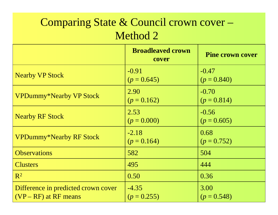#### Comparing State & Council crown cover –Method 2

|                                                                | <b>Broadleaved crown</b><br>cover | <b>Pine crown cover</b>  |
|----------------------------------------------------------------|-----------------------------------|--------------------------|
| <b>Nearby VP Stock</b>                                         | $-0.91$<br>$(p = 0.645)$          | $-0.47$<br>$(p = 0.840)$ |
| <b>VPDummy*Nearby VP Stock</b>                                 | 2.90<br>$(p = 0.162)$             | $-0.70$<br>$(p = 0.814)$ |
| <b>Nearby RF Stock</b>                                         | 2.53<br>$(p = 0.000)$             | $-0.56$<br>$(p = 0.605)$ |
| <b>VPDummy*Nearby RF Stock</b>                                 | $-2.18$<br>$(p = 0.164)$          | 0.68<br>$(p = 0.752)$    |
| <b>Observations</b>                                            | 582                               | 504                      |
| <b>Clusters</b>                                                | 495                               | 444                      |
| $R^2$                                                          | 0.50                              | 0.36                     |
| Difference in predicted crown cover<br>$(VP - RF)$ at RF means | $-4.35$<br>$(p = 0.255)$          | 3.00<br>$(p = 0.548)$    |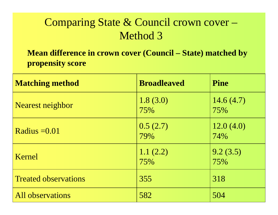### Comparing State & Council crown cover –Method 3

**Mean difference in crown cover (Council – State) matched by propensity score**

| <b>Matching method</b>      | <b>Broadleaved</b> | <b>Pine</b>      |
|-----------------------------|--------------------|------------------|
| Nearest neighbor            | 1.8(3.0)<br>75%    | 14.6(4.7)<br>75% |
| Radius $=0.01$              | 0.5(2.7)<br>79%    | 12.0(4.0)<br>74% |
| Kernel                      | 1.1 $(2.2)$<br>75% | 9.2(3.5)<br>75%  |
| <b>Treated observations</b> | 355                | 318              |
| All observations            | 582                | 504              |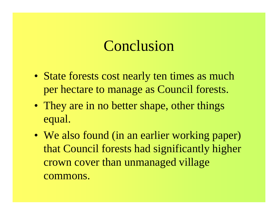# Conclusion

- State forests cost nearly ten times as much per hectare to manage as Council forests.
- They are in no better shape, other things equal.
- We also found (in an earlier working paper) that Council forests had significantly higher crown cover than unmanaged village commons.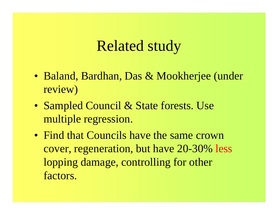# Related study

- Baland, Bardhan, Das & Mookherjee (under review)
- Sampled Council & State forests. Use multiple regression.
- Find that Councils have the same crown cover, regeneration, but have 20-30% lesslopping damage, controlling for other factors.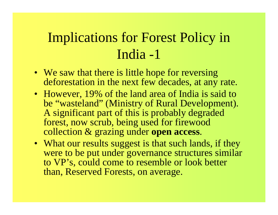# Implications for Forest Policy in India -1

- We saw that there is little hope for reversing deforestation in the next few decades, at any rate.
- However, 19% of the land area of India is said to be "wasteland" (Ministry of Rural Development). A significant part of this is probably degraded forest, now scrub, being used for firewood collection & grazing under **open access**.
- What our results suggest is that such lands, if they were to be put under governance structures similar to VP's, could come to resemble or look better than, Reserved Forests, on average.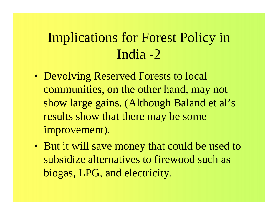# Implications for Forest Policy in India -2

- Devolving Reserved Forests to local communities, on the other hand, may not show large gains. (Although Baland et al's results show that there may be some improvement).
- But it will save money that could be used to subsidize alternatives to firewood such as biogas, LPG, and electricity.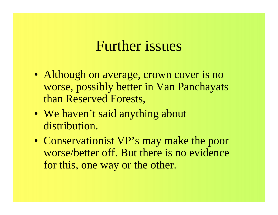## Further issues

- Although on average, crown cover is no worse, possibly better in Van Panchayats than Reserved Forests,
- We haven't said anything about distribution.
- Conservationist VP's may make the poor worse/better off. But there is no evidence for this, one way or the other.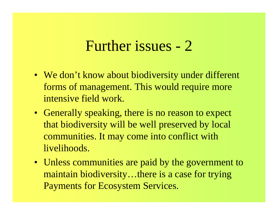# Further issues - 2

- We don't know about biodiversity under different forms of management. This would require more intensive field work.
- Generally speaking, there is no reason to expect that biodiversity will be well preserved by local communities. It may come into conflict with livelihoods.
- Unless communities are paid by the government to maintain biodiversity…there is a case for trying Payments for Ecosystem Services.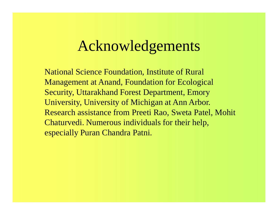# Acknowledgements

National Science Foundation, Institute of Rural Management at Anand, Foundation for Ecological Security, Uttarakhand Forest Department, Emory University, University of Michigan at Ann Arbor. Research assistance from Preeti Rao, Sweta Patel, Mohit Chaturvedi. Numerous individuals for their help, especially Puran Chandra Patni.